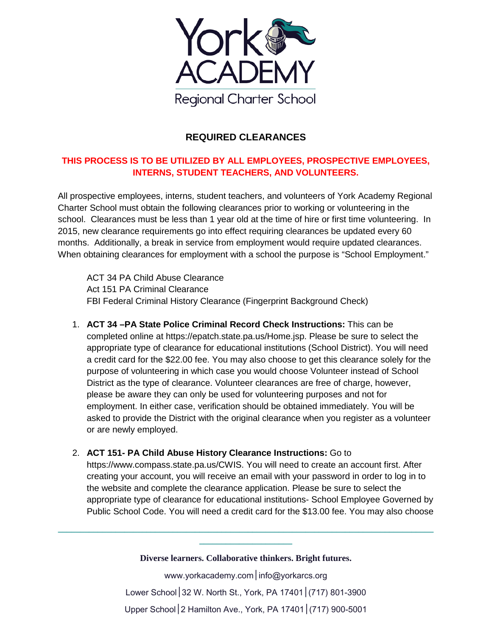

## **REQUIRED CLEARANCES**

## **THIS PROCESS IS TO BE UTILIZED BY ALL EMPLOYEES, PROSPECTIVE EMPLOYEES, INTERNS, STUDENT TEACHERS, AND VOLUNTEERS.**

All prospective employees, interns, student teachers, and volunteers of York Academy Regional Charter School must obtain the following clearances prior to working or volunteering in the school. Clearances must be less than 1 year old at the time of hire or first time volunteering. In 2015, new clearance requirements go into effect requiring clearances be updated every 60 months. Additionally, a break in service from employment would require updated clearances. When obtaining clearances for employment with a school the purpose is "School Employment."

ACT 34 PA Child Abuse Clearance Act 151 PA Criminal Clearance FBI Federal Criminal History Clearance (Fingerprint Background Check)

- 1. **ACT 34 –PA State Police Criminal Record Check Instructions:** This can be completed online at https://epatch.state.pa.us/Home.jsp. Please be sure to select the appropriate type of clearance for educational institutions (School District). You will need a credit card for the \$22.00 fee. You may also choose to get this clearance solely for the purpose of volunteering in which case you would choose Volunteer instead of School District as the type of clearance. Volunteer clearances are free of charge, however, please be aware they can only be used for volunteering purposes and not for employment. In either case, verification should be obtained immediately. You will be asked to provide the District with the original clearance when you register as a volunteer or are newly employed.
- 2. **ACT 151- PA Child Abuse History Clearance Instructions:** Go to

https://www.compass.state.pa.us/CWIS. You will need to create an account first. After creating your account, you will receive an email with your password in order to log in to the website and complete the clearance application. Please be sure to select the appropriate type of clearance for educational institutions- School Employee Governed by Public School Code. You will need a credit card for the \$13.00 fee. You may also choose

**Diverse learners. Collaborative thinkers. Bright futures.**

**\_\_\_\_\_\_\_\_\_\_\_\_\_\_\_\_\_\_\_\_\_\_\_\_\_\_\_\_\_\_\_\_\_\_\_\_\_\_\_\_\_\_\_\_\_\_\_\_\_\_\_\_\_\_\_\_\_\_\_\_\_\_\_\_\_\_\_\_\_\_\_\_\_\_\_\_\_\_\_\_\_\_\_\_\_ \_\_\_\_\_\_\_\_\_\_\_\_\_\_\_\_\_\_\_\_\_**

> www.yorkacademy.com | info@yorkarcs.org Lower School│32 W. North St., York, PA 17401│(717) 801-3900 Upper School│2 Hamilton Ave., York, PA 17401│(717) 900-5001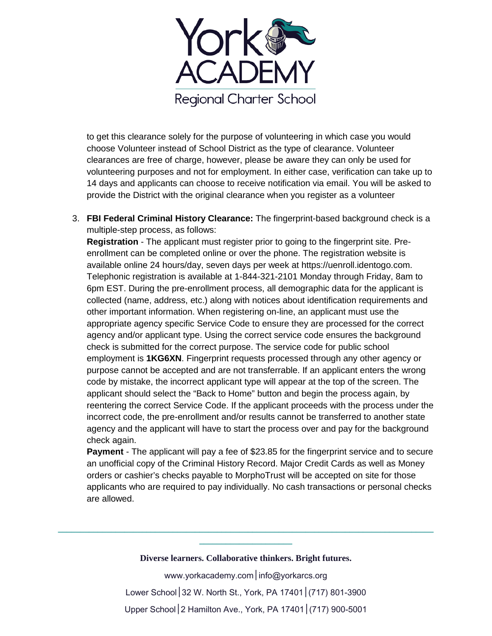

to get this clearance solely for the purpose of volunteering in which case you would choose Volunteer instead of School District as the type of clearance. Volunteer clearances are free of charge, however, please be aware they can only be used for volunteering purposes and not for employment. In either case, verification can take up to 14 days and applicants can choose to receive notification via email. You will be asked to provide the District with the original clearance when you register as a volunteer

3. **FBI Federal Criminal History Clearance:** The fingerprint-based background check is a multiple-step process, as follows:

**Registration** - The applicant must register prior to going to the fingerprint site. Preenrollment can be completed online or over the phone. The registration website is available online 24 hours/day, seven days per week at https://uenroll.identogo.com. Telephonic registration is available at 1-844-321-2101 Monday through Friday, 8am to 6pm EST. During the pre-enrollment process, all demographic data for the applicant is collected (name, address, etc.) along with notices about identification requirements and other important information. When registering on-line, an applicant must use the appropriate agency specific Service Code to ensure they are processed for the correct agency and/or applicant type. Using the correct service code ensures the background check is submitted for the correct purpose. The service code for public school employment is **1KG6XN**. Fingerprint requests processed through any other agency or purpose cannot be accepted and are not transferrable. If an applicant enters the wrong code by mistake, the incorrect applicant type will appear at the top of the screen. The applicant should select the "Back to Home" button and begin the process again, by reentering the correct Service Code. If the applicant proceeds with the process under the incorrect code, the pre-enrollment and/or results cannot be transferred to another state agency and the applicant will have to start the process over and pay for the background check again.

**Payment** - The applicant will pay a fee of \$23.85 for the fingerprint service and to secure an unofficial copy of the Criminal History Record. Major Credit Cards as well as Money orders or cashier's checks payable to MorphoTrust will be accepted on site for those applicants who are required to pay individually. No cash transactions or personal checks are allowed.

**Diverse learners. Collaborative thinkers. Bright futures.**

**\_\_\_\_\_\_\_\_\_\_\_\_\_\_\_\_\_\_\_\_\_\_\_\_\_\_\_\_\_\_\_\_\_\_\_\_\_\_\_\_\_\_\_\_\_\_\_\_\_\_\_\_\_\_\_\_\_\_\_\_\_\_\_\_\_\_\_\_\_\_\_\_\_\_\_\_\_\_\_\_\_\_\_\_\_ \_\_\_\_\_\_\_\_\_\_\_\_\_\_\_\_\_\_\_\_\_**

> www.yorkacademy.com | info@yorkarcs.org Lower School│32 W. North St., York, PA 17401│(717) 801-3900 Upper School│2 Hamilton Ave., York, PA 17401│(717) 900-5001